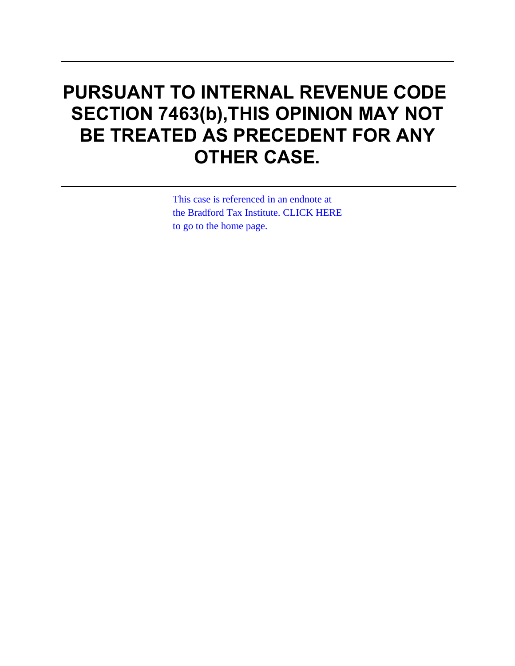# **PURSUANT TO INTERNAL REVENUE CODE SECTION 7463(b),THIS OPINION MAY NOT BE TREATED AS PRECEDENT FOR ANY OTHER CASE.**

This case is referenced in an endnote at [the Bradford Tax Institute. CLICK HERE](http://bradfordtaxinstitute.com/)  to go to the home page.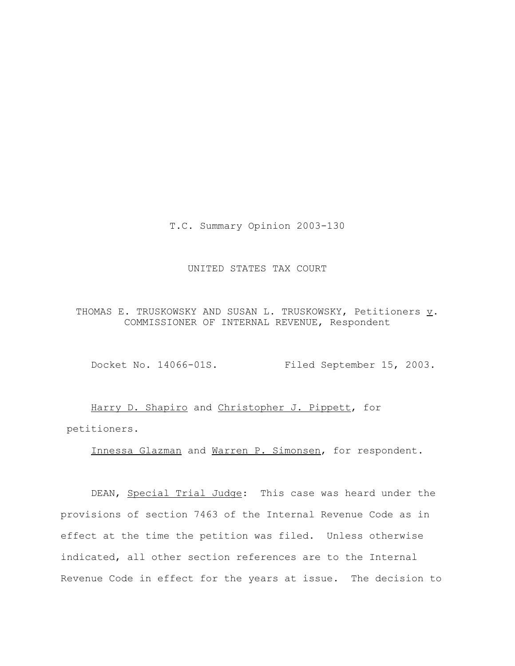T.C. Summary Opinion 2003-130

# UNITED STATES TAX COURT

THOMAS E. TRUSKOWSKY AND SUSAN L. TRUSKOWSKY, Petitioners  $\underline{v}$ . COMMISSIONER OF INTERNAL REVENUE, Respondent

Docket No. 14066-01S. Filed September 15, 2003.

Harry D. Shapiro and Christopher J. Pippett, for petitioners.

Innessa Glazman and Warren P. Simonsen, for respondent.

DEAN, Special Trial Judge: This case was heard under the provisions of section 7463 of the Internal Revenue Code as in effect at the time the petition was filed. Unless otherwise indicated, all other section references are to the Internal Revenue Code in effect for the years at issue. The decision to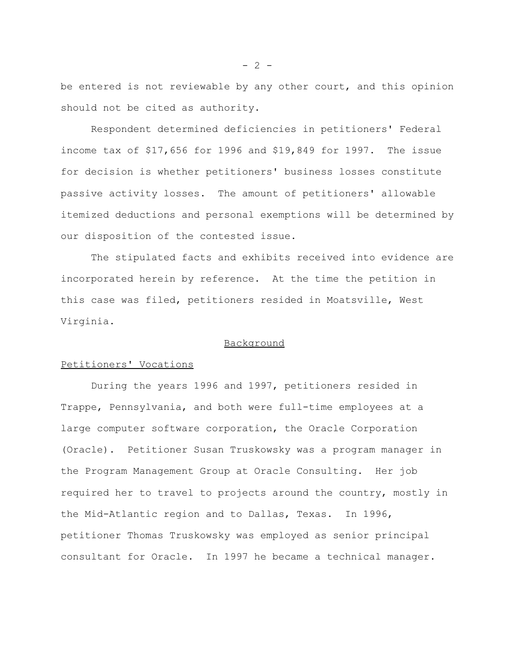be entered is not reviewable by any other court, and this opinion should not be cited as authority.

Respondent determined deficiencies in petitioners' Federal income tax of \$17,656 for 1996 and \$19,849 for 1997. The issue for decision is whether petitioners' business losses constitute passive activity losses. The amount of petitioners' allowable itemized deductions and personal exemptions will be determined by our disposition of the contested issue.

The stipulated facts and exhibits received into evidence are incorporated herein by reference. At the time the petition in this case was filed, petitioners resided in Moatsville, West Virginia.

## Background

## Petitioners' Vocations

During the years 1996 and 1997, petitioners resided in Trappe, Pennsylvania, and both were full-time employees at a large computer software corporation, the Oracle Corporation (Oracle). Petitioner Susan Truskowsky was a program manager in the Program Management Group at Oracle Consulting. Her job required her to travel to projects around the country, mostly in the Mid-Atlantic region and to Dallas, Texas. In 1996, petitioner Thomas Truskowsky was employed as senior principal consultant for Oracle. In 1997 he became a technical manager.

 $- 2 -$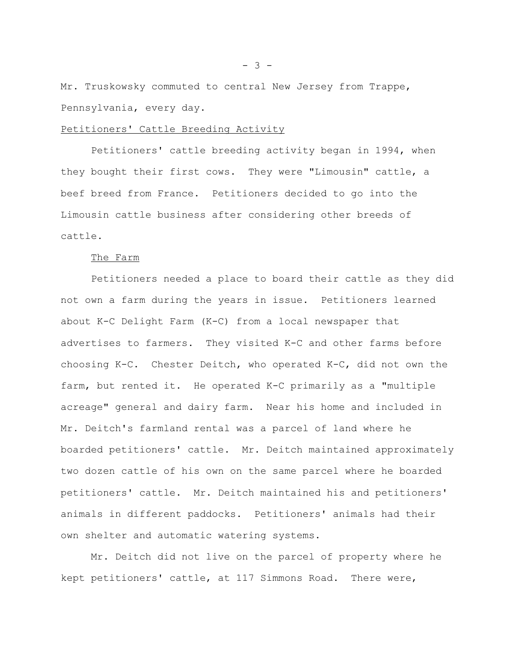Mr. Truskowsky commuted to central New Jersey from Trappe, Pennsylvania, every day.

## Petitioners' Cattle Breeding Activity

Petitioners' cattle breeding activity began in 1994, when they bought their first cows. They were "Limousin" cattle, a beef breed from France. Petitioners decided to go into the Limousin cattle business after considering other breeds of cattle.

#### The Farm

Petitioners needed a place to board their cattle as they did not own a farm during the years in issue. Petitioners learned about K-C Delight Farm (K-C) from a local newspaper that advertises to farmers. They visited K-C and other farms before choosing K-C. Chester Deitch, who operated K-C, did not own the farm, but rented it. He operated K-C primarily as a "multiple acreage" general and dairy farm. Near his home and included in Mr. Deitch's farmland rental was a parcel of land where he boarded petitioners' cattle. Mr. Deitch maintained approximately two dozen cattle of his own on the same parcel where he boarded petitioners' cattle. Mr. Deitch maintained his and petitioners' animals in different paddocks. Petitioners' animals had their own shelter and automatic watering systems.

Mr. Deitch did not live on the parcel of property where he kept petitioners' cattle, at 117 Simmons Road. There were,

- 3 -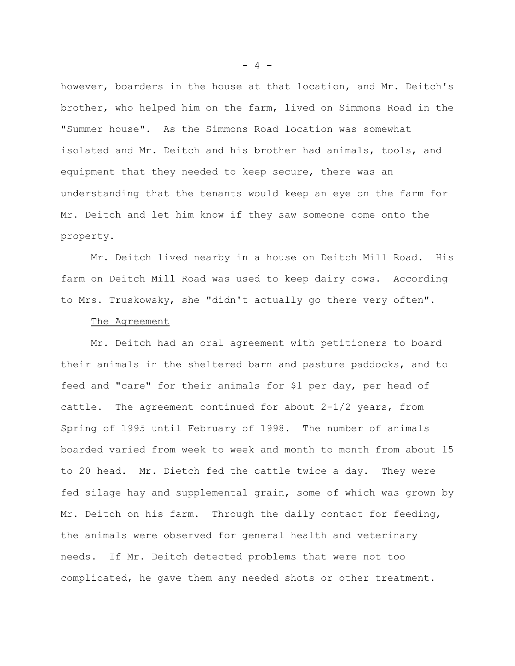however, boarders in the house at that location, and Mr. Deitch's brother, who helped him on the farm, lived on Simmons Road in the "Summer house". As the Simmons Road location was somewhat isolated and Mr. Deitch and his brother had animals, tools, and equipment that they needed to keep secure, there was an understanding that the tenants would keep an eye on the farm for Mr. Deitch and let him know if they saw someone come onto the property.

Mr. Deitch lived nearby in a house on Deitch Mill Road. His farm on Deitch Mill Road was used to keep dairy cows. According to Mrs. Truskowsky, she "didn't actually go there very often".

#### The Agreement

Mr. Deitch had an oral agreement with petitioners to board their animals in the sheltered barn and pasture paddocks, and to feed and "care" for their animals for \$1 per day, per head of cattle. The agreement continued for about 2-1/2 years, from Spring of 1995 until February of 1998. The number of animals boarded varied from week to week and month to month from about 15 to 20 head. Mr. Dietch fed the cattle twice a day. They were fed silage hay and supplemental grain, some of which was grown by Mr. Deitch on his farm. Through the daily contact for feeding, the animals were observed for general health and veterinary needs. If Mr. Deitch detected problems that were not too complicated, he gave them any needed shots or other treatment.

 $- 4 -$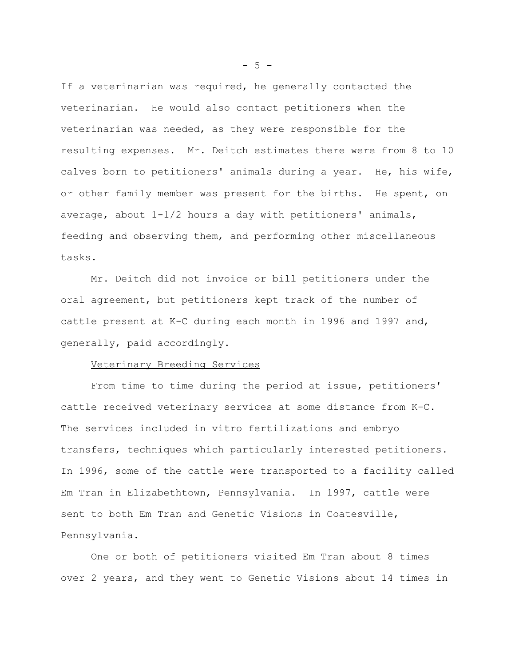If a veterinarian was required, he generally contacted the veterinarian. He would also contact petitioners when the veterinarian was needed, as they were responsible for the resulting expenses. Mr. Deitch estimates there were from 8 to 10 calves born to petitioners' animals during a year. He, his wife, or other family member was present for the births. He spent, on average, about 1-1/2 hours a day with petitioners' animals, feeding and observing them, and performing other miscellaneous tasks.

Mr. Deitch did not invoice or bill petitioners under the oral agreement, but petitioners kept track of the number of cattle present at K-C during each month in 1996 and 1997 and, generally, paid accordingly.

## Veterinary Breeding Services

From time to time during the period at issue, petitioners' cattle received veterinary services at some distance from K-C. The services included in vitro fertilizations and embryo transfers, techniques which particularly interested petitioners. In 1996, some of the cattle were transported to a facility called Em Tran in Elizabethtown, Pennsylvania. In 1997, cattle were sent to both Em Tran and Genetic Visions in Coatesville, Pennsylvania.

One or both of petitioners visited Em Tran about 8 times over 2 years, and they went to Genetic Visions about 14 times in

 $-5 -$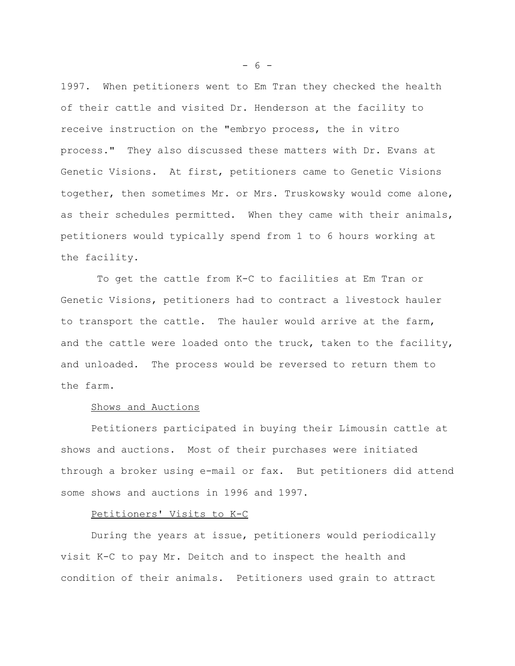1997. When petitioners went to Em Tran they checked the health of their cattle and visited Dr. Henderson at the facility to receive instruction on the "embryo process, the in vitro process." They also discussed these matters with Dr. Evans at Genetic Visions. At first, petitioners came to Genetic Visions together, then sometimes Mr. or Mrs. Truskowsky would come alone, as their schedules permitted. When they came with their animals, petitioners would typically spend from 1 to 6 hours working at the facility.

 To get the cattle from K-C to facilities at Em Tran or Genetic Visions, petitioners had to contract a livestock hauler to transport the cattle. The hauler would arrive at the farm, and the cattle were loaded onto the truck, taken to the facility, and unloaded. The process would be reversed to return them to the farm.

## Shows and Auctions

Petitioners participated in buying their Limousin cattle at shows and auctions. Most of their purchases were initiated through a broker using e-mail or fax. But petitioners did attend some shows and auctions in 1996 and 1997.

## Petitioners' Visits to K-C

During the years at issue, petitioners would periodically visit K-C to pay Mr. Deitch and to inspect the health and condition of their animals. Petitioners used grain to attract

- 6 -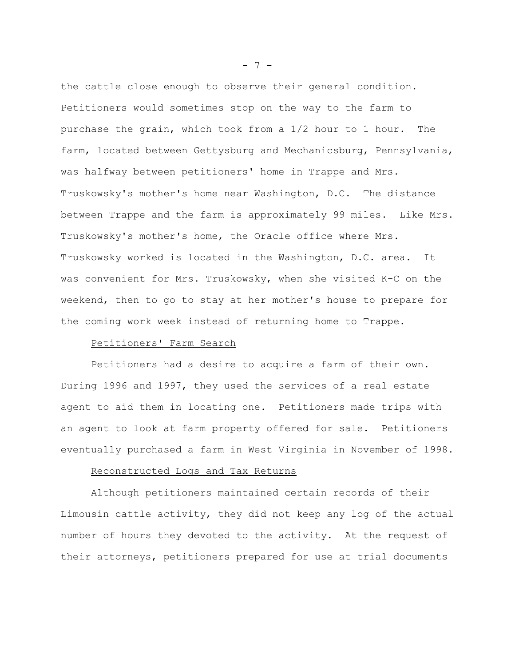the cattle close enough to observe their general condition. Petitioners would sometimes stop on the way to the farm to purchase the grain, which took from a 1/2 hour to 1 hour. The farm, located between Gettysburg and Mechanicsburg, Pennsylvania, was halfway between petitioners' home in Trappe and Mrs. Truskowsky's mother's home near Washington, D.C. The distance between Trappe and the farm is approximately 99 miles. Like Mrs. Truskowsky's mother's home, the Oracle office where Mrs. Truskowsky worked is located in the Washington, D.C. area. It was convenient for Mrs. Truskowsky, when she visited K-C on the weekend, then to go to stay at her mother's house to prepare for the coming work week instead of returning home to Trappe.

# Petitioners' Farm Search

Petitioners had a desire to acquire a farm of their own. During 1996 and 1997, they used the services of a real estate agent to aid them in locating one. Petitioners made trips with an agent to look at farm property offered for sale. Petitioners eventually purchased a farm in West Virginia in November of 1998.

## Reconstructed Logs and Tax Returns

Although petitioners maintained certain records of their Limousin cattle activity, they did not keep any log of the actual number of hours they devoted to the activity. At the request of their attorneys, petitioners prepared for use at trial documents

- 7 -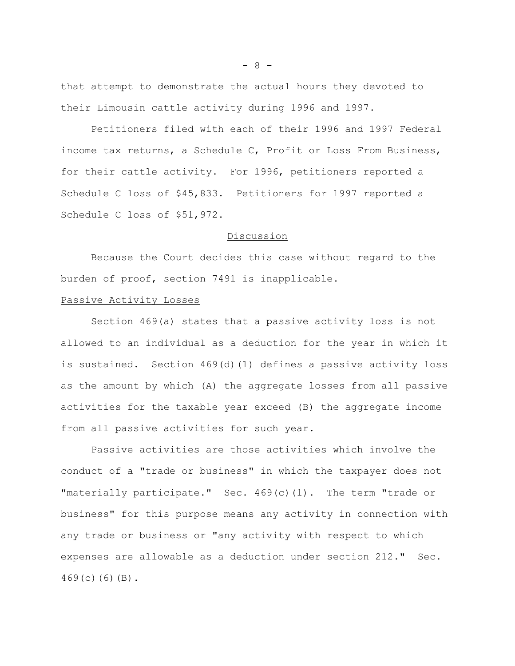that attempt to demonstrate the actual hours they devoted to their Limousin cattle activity during 1996 and 1997.

Petitioners filed with each of their 1996 and 1997 Federal income tax returns, a Schedule C, Profit or Loss From Business, for their cattle activity. For 1996, petitioners reported a Schedule C loss of \$45,833. Petitioners for 1997 reported a Schedule C loss of \$51,972.

## Discussion

Because the Court decides this case without regard to the burden of proof, section 7491 is inapplicable.

# Passive Activity Losses

Section 469(a) states that a passive activity loss is not allowed to an individual as a deduction for the year in which it is sustained. Section 469(d)(1) defines a passive activity loss as the amount by which (A) the aggregate losses from all passive activities for the taxable year exceed (B) the aggregate income from all passive activities for such year.

Passive activities are those activities which involve the conduct of a "trade or business" in which the taxpayer does not "materially participate." Sec. 469(c)(1). The term "trade or business" for this purpose means any activity in connection with any trade or business or "any activity with respect to which expenses are allowable as a deduction under section 212." Sec. 469(c)(6)(B).

- 8 -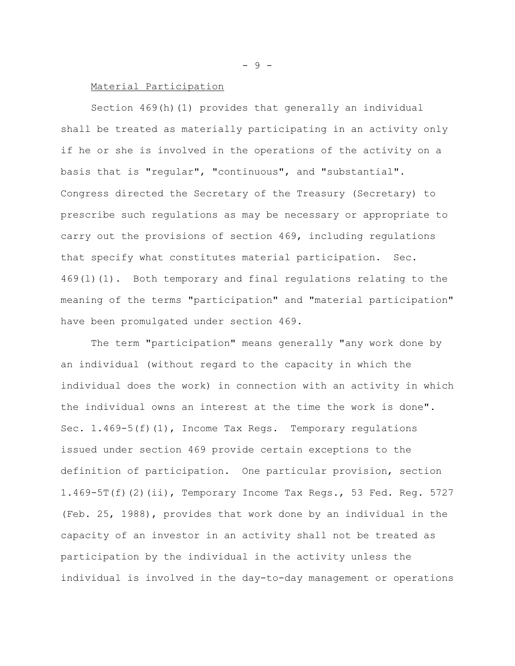## Material Participation

Section 469(h)(1) provides that generally an individual shall be treated as materially participating in an activity only if he or she is involved in the operations of the activity on a basis that is "regular", "continuous", and "substantial". Congress directed the Secretary of the Treasury (Secretary) to prescribe such regulations as may be necessary or appropriate to carry out the provisions of section 469, including regulations that specify what constitutes material participation. Sec.  $469(1)(1)$ . Both temporary and final regulations relating to the meaning of the terms "participation" and "material participation" have been promulgated under section 469.

The term "participation" means generally "any work done by an individual (without regard to the capacity in which the individual does the work) in connection with an activity in which the individual owns an interest at the time the work is done". Sec. 1.469-5(f)(1), Income Tax Regs. Temporary regulations issued under section 469 provide certain exceptions to the definition of participation. One particular provision, section 1.469-5T(f)(2)(ii), Temporary Income Tax Regs., 53 Fed. Reg. 5727 (Feb. 25, 1988), provides that work done by an individual in the capacity of an investor in an activity shall not be treated as participation by the individual in the activity unless the individual is involved in the day-to-day management or operations

- 9 -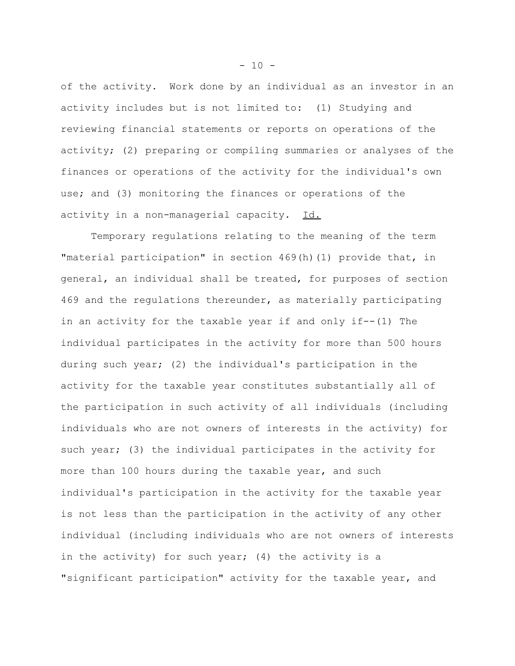of the activity. Work done by an individual as an investor in an activity includes but is not limited to: (1) Studying and reviewing financial statements or reports on operations of the activity; (2) preparing or compiling summaries or analyses of the finances or operations of the activity for the individual's own use; and (3) monitoring the finances or operations of the activity in a non-managerial capacity. Id.

Temporary regulations relating to the meaning of the term "material participation" in section 469(h)(1) provide that, in general, an individual shall be treated, for purposes of section 469 and the regulations thereunder, as materially participating in an activity for the taxable year if and only if--(1) The individual participates in the activity for more than 500 hours during such year; (2) the individual's participation in the activity for the taxable year constitutes substantially all of the participation in such activity of all individuals (including individuals who are not owners of interests in the activity) for such year; (3) the individual participates in the activity for more than 100 hours during the taxable year, and such individual's participation in the activity for the taxable year is not less than the participation in the activity of any other individual (including individuals who are not owners of interests in the activity) for such year; (4) the activity is a "significant participation" activity for the taxable year, and

 $- 10 -$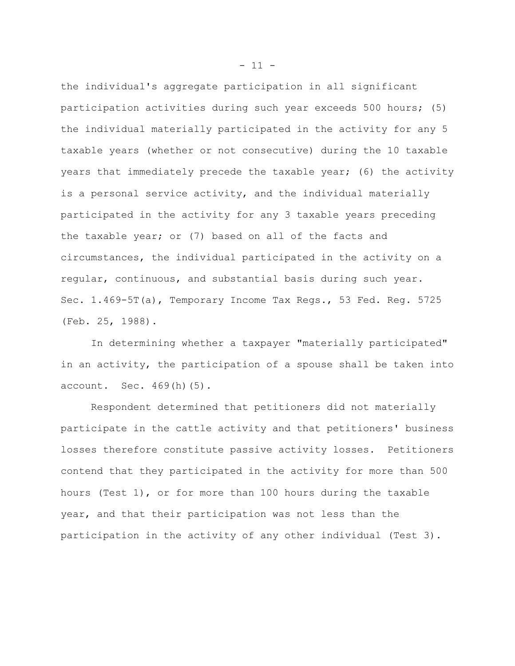the individual's aggregate participation in all significant participation activities during such year exceeds 500 hours; (5) the individual materially participated in the activity for any 5 taxable years (whether or not consecutive) during the 10 taxable years that immediately precede the taxable year; (6) the activity is a personal service activity, and the individual materially participated in the activity for any 3 taxable years preceding the taxable year; or (7) based on all of the facts and circumstances, the individual participated in the activity on a regular, continuous, and substantial basis during such year. Sec. 1.469-5T(a), Temporary Income Tax Regs., 53 Fed. Reg. 5725 (Feb. 25, 1988).

In determining whether a taxpayer "materially participated" in an activity, the participation of a spouse shall be taken into account. Sec. 469(h)(5).

Respondent determined that petitioners did not materially participate in the cattle activity and that petitioners' business losses therefore constitute passive activity losses. Petitioners contend that they participated in the activity for more than 500 hours (Test 1), or for more than 100 hours during the taxable year, and that their participation was not less than the participation in the activity of any other individual (Test 3).

 $- 11 -$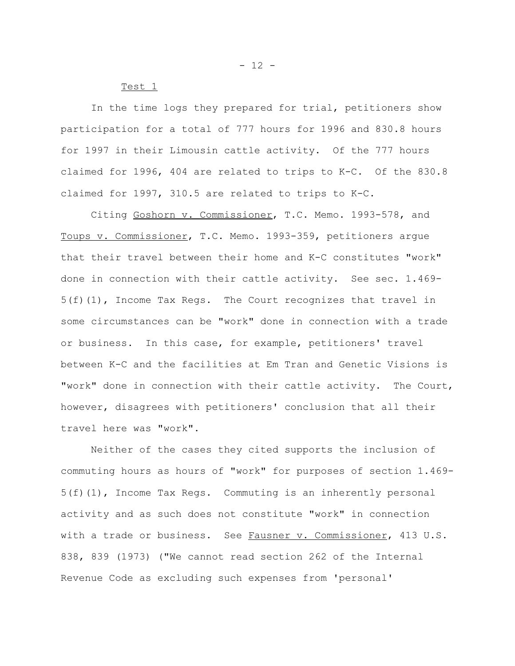Test 1

In the time logs they prepared for trial, petitioners show participation for a total of 777 hours for 1996 and 830.8 hours for 1997 in their Limousin cattle activity. Of the 777 hours claimed for 1996, 404 are related to trips to K-C. Of the 830.8 claimed for 1997, 310.5 are related to trips to K-C.

Citing Goshorn v. Commissioner, T.C. Memo. 1993-578, and Toups v. Commissioner, T.C. Memo. 1993-359, petitioners argue that their travel between their home and K-C constitutes "work" done in connection with their cattle activity. See sec. 1.469- 5(f)(1), Income Tax Regs. The Court recognizes that travel in some circumstances can be "work" done in connection with a trade or business. In this case, for example, petitioners' travel between K-C and the facilities at Em Tran and Genetic Visions is "work" done in connection with their cattle activity. The Court, however, disagrees with petitioners' conclusion that all their travel here was "work".

Neither of the cases they cited supports the inclusion of commuting hours as hours of "work" for purposes of section 1.469- 5(f)(1), Income Tax Regs. Commuting is an inherently personal activity and as such does not constitute "work" in connection with a trade or business. See Fausner v. Commissioner, 413 U.S. 838, 839 (1973) ("We cannot read section 262 of the Internal Revenue Code as excluding such expenses from 'personal'

 $- 12 -$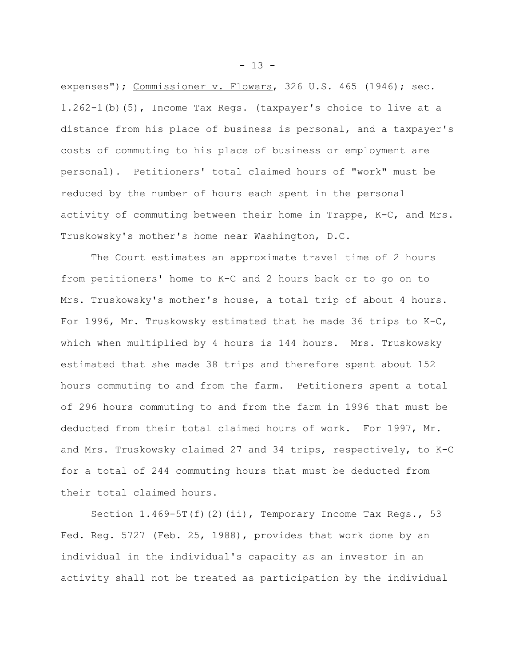expenses"); Commissioner v. Flowers, 326 U.S. 465 (1946); sec. 1.262-1(b)(5), Income Tax Regs. (taxpayer's choice to live at a distance from his place of business is personal, and a taxpayer's costs of commuting to his place of business or employment are personal). Petitioners' total claimed hours of "work" must be reduced by the number of hours each spent in the personal activity of commuting between their home in Trappe, K-C, and Mrs. Truskowsky's mother's home near Washington, D.C.

The Court estimates an approximate travel time of 2 hours from petitioners' home to K-C and 2 hours back or to go on to Mrs. Truskowsky's mother's house, a total trip of about 4 hours. For 1996, Mr. Truskowsky estimated that he made 36 trips to K-C, which when multiplied by 4 hours is 144 hours. Mrs. Truskowsky estimated that she made 38 trips and therefore spent about 152 hours commuting to and from the farm. Petitioners spent a total of 296 hours commuting to and from the farm in 1996 that must be deducted from their total claimed hours of work. For 1997, Mr. and Mrs. Truskowsky claimed 27 and 34 trips, respectively, to K-C for a total of 244 commuting hours that must be deducted from their total claimed hours.

Section 1.469-5T(f)(2)(ii), Temporary Income Tax Regs., 53 Fed. Reg. 5727 (Feb. 25, 1988), provides that work done by an individual in the individual's capacity as an investor in an activity shall not be treated as participation by the individual

- 13 -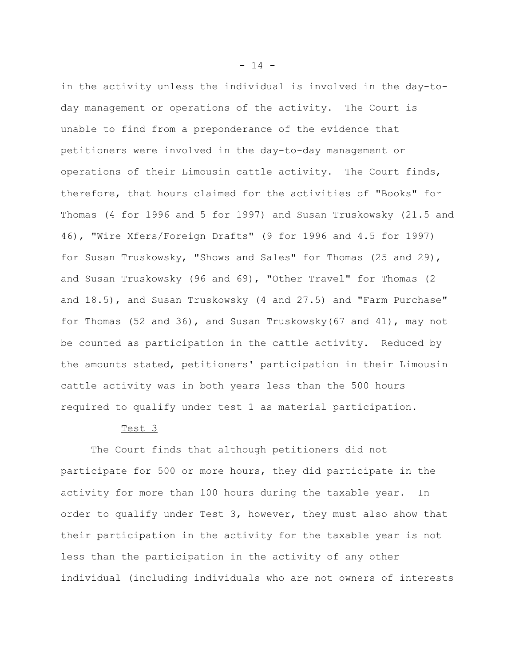in the activity unless the individual is involved in the day-today management or operations of the activity. The Court is unable to find from a preponderance of the evidence that petitioners were involved in the day-to-day management or operations of their Limousin cattle activity. The Court finds, therefore, that hours claimed for the activities of "Books" for Thomas (4 for 1996 and 5 for 1997) and Susan Truskowsky (21.5 and 46), "Wire Xfers/Foreign Drafts" (9 for 1996 and 4.5 for 1997) for Susan Truskowsky, "Shows and Sales" for Thomas (25 and 29), and Susan Truskowsky (96 and 69), "Other Travel" for Thomas (2 and 18.5), and Susan Truskowsky (4 and 27.5) and "Farm Purchase" for Thomas (52 and 36), and Susan Truskowsky(67 and 41), may not be counted as participation in the cattle activity. Reduced by the amounts stated, petitioners' participation in their Limousin cattle activity was in both years less than the 500 hours required to qualify under test 1 as material participation.

## Test 3

The Court finds that although petitioners did not participate for 500 or more hours, they did participate in the activity for more than 100 hours during the taxable year. In order to qualify under Test 3, however, they must also show that their participation in the activity for the taxable year is not less than the participation in the activity of any other individual (including individuals who are not owners of interests

- 14 -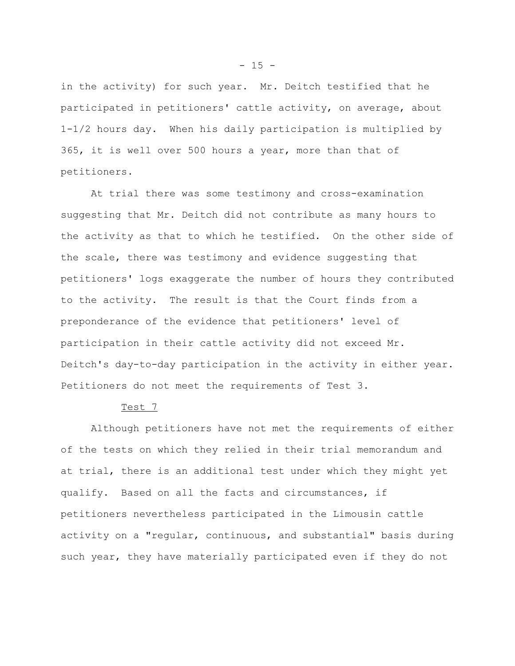in the activity) for such year. Mr. Deitch testified that he participated in petitioners' cattle activity, on average, about 1-1/2 hours day. When his daily participation is multiplied by 365, it is well over 500 hours a year, more than that of petitioners.

At trial there was some testimony and cross-examination suggesting that Mr. Deitch did not contribute as many hours to the activity as that to which he testified. On the other side of the scale, there was testimony and evidence suggesting that petitioners' logs exaggerate the number of hours they contributed to the activity. The result is that the Court finds from a preponderance of the evidence that petitioners' level of participation in their cattle activity did not exceed Mr. Deitch's day-to-day participation in the activity in either year. Petitioners do not meet the requirements of Test 3.

## Test 7

Although petitioners have not met the requirements of either of the tests on which they relied in their trial memorandum and at trial, there is an additional test under which they might yet qualify. Based on all the facts and circumstances, if petitioners nevertheless participated in the Limousin cattle activity on a "regular, continuous, and substantial" basis during such year, they have materially participated even if they do not

 $- 15 -$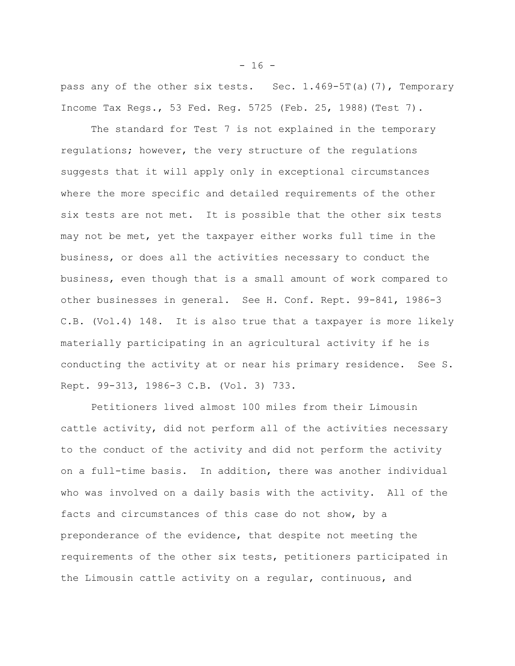pass any of the other six tests. Sec. 1.469-5T(a)(7), Temporary Income Tax Regs., 53 Fed. Reg. 5725 (Feb. 25, 1988)(Test 7).

The standard for Test 7 is not explained in the temporary regulations; however, the very structure of the regulations suggests that it will apply only in exceptional circumstances where the more specific and detailed requirements of the other six tests are not met. It is possible that the other six tests may not be met, yet the taxpayer either works full time in the business, or does all the activities necessary to conduct the business, even though that is a small amount of work compared to other businesses in general. See H. Conf. Rept. 99-841, 1986-3 C.B. (Vol.4) 148. It is also true that a taxpayer is more likely materially participating in an agricultural activity if he is conducting the activity at or near his primary residence. See S. Rept. 99-313, 1986-3 C.B. (Vol. 3) 733.

Petitioners lived almost 100 miles from their Limousin cattle activity, did not perform all of the activities necessary to the conduct of the activity and did not perform the activity on a full-time basis. In addition, there was another individual who was involved on a daily basis with the activity. All of the facts and circumstances of this case do not show, by a preponderance of the evidence, that despite not meeting the requirements of the other six tests, petitioners participated in the Limousin cattle activity on a regular, continuous, and

 $- 16 -$